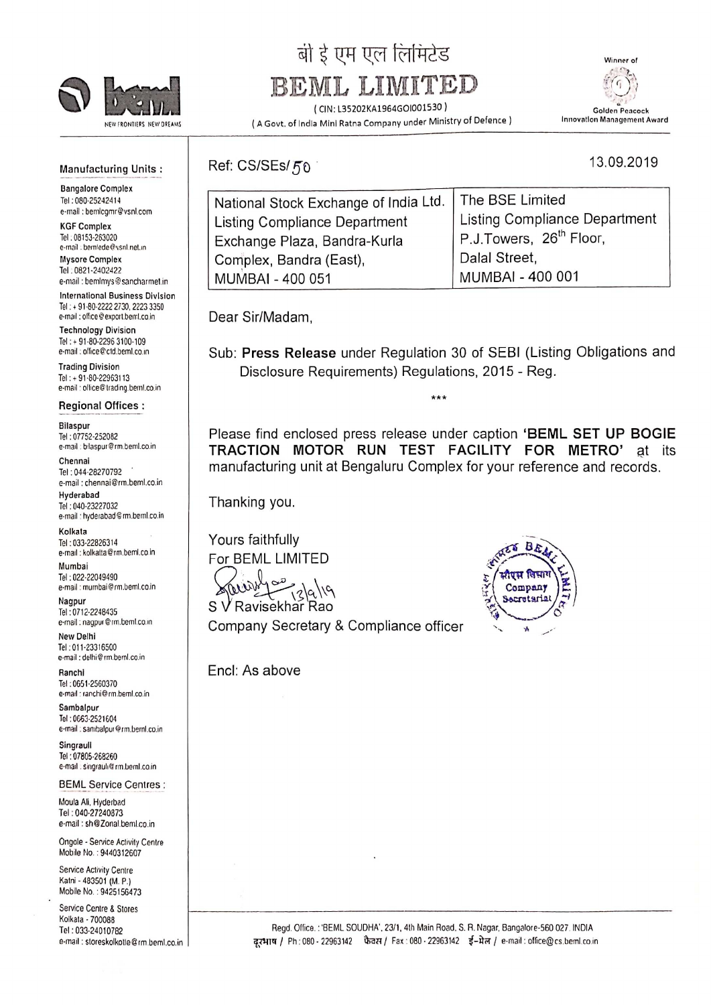

# बी ई एम एल लिमिटेड

## BEML LIMIT

(CINZ L35202KA1964601001530)



13.09.2019

(A Govt. of India Mini Ratna Company under Ministry of Defence)

#### Manufacturing Units:

Bangalore Complex Tel: 080-25242414 e-mali :bemlcgmr@vsnl.com

KGF Complex Tel: 08153-263020 e-mail : bemlede@vsnl.net.in Mysore Complex

Tel . 0821-2402422 e-mail : bemlmys@sancharmet.in

International Business Division Tel: + 91-80-2222 2730, 2223 3350 e-mail : office@export.bentl.co.in

Technology Division Tel: + 91-80-2296 3100-109 e-mail : office@ctd.beml.co.in

Trading Division Tel: + 91-80-22963113 e-mail : office@trading.beml.co.in

Regional Offices :

**Bilaspur** Tel :07752—252082 e-mail : bilaspur@rm.beml.co.in

Chennai Tel: 044-28270792 e-mail :chennai@rrn,beml.co.in Hyderabad Tel :040-23227032

e-mail : hyderabad@rm.beml.co.in Kolkala Tel :033-22826314 e-mall : kolkaila©rm.beml.co in

Mumbai Tel :022-22049490 e-mail :mumbai@rm.beml.co.in

Nagpur Tel: 0712-2248435 e-mail: nagpur@rm.beml.co.in

New Delhi Tel :011-23316500 e-mail :delhi@rm.beml.co.in

Ranchi Tel :06512560370 e-mail 'ranchi@rm.hem1.co.in

Sambalpur Tel: 0663-2521604 e-mail : sambalpur@rm.beml.co.in

**Singraull** Tel : 07805-268260 e-mail , singrauli@rm.beml.co.in

BEML Service Centres :

Moula Ali. Hyderbad Tel :040-27240873 e-mail : sh@Zonal.beml.co,in

Ongole - Service Activity Centre Mobile No : 9440312607

Service Activity Centre Kalni - 483501 (M. P.) Mobile No. : 9425156473

Service Centre 8 Stores Kolkaia - 700088 Tel: 03324010782 e-mail : storeskolkotte@rm.beml.co.in Ref: CS/SEs/5o

| National Stock Exchange of India Ltd.   The BSE Limited |                                      |
|---------------------------------------------------------|--------------------------------------|
| Listing Compliance Department                           | <b>Listing Compliance Department</b> |
| Exchange Plaza, Bandra-Kurla                            | P.J.Towers, 26 <sup>th</sup> Floor,  |
| Complex, Bandra (East),                                 | Dalal Street,                        |
| MUMBAI - 400 051                                        | MUMBAI - 400 001                     |
|                                                         |                                      |

Dear Sir/Madam,

Sub: Press Release under Regulation 30 of SEBI (Listing Obligations and Disclosure Requirements) Regulations, 2015 - Reg.

\*\*\*

Please find enclosed press release under caption 'BEML SET UP BOGIE<br>TRACTION MOTOR RUN TEST FACILITY FOR METRO' at its TRACTION MOTOR RUN TEST FACILITY FOR METRO' manufacturing unit at Bengaiuru Complex for your reference and records.

Thanking you.

Yours faithfully For BEML LIMITED

on S V Ravisekhar Rao

Company Secretary & Compliance officer

EncI: As above

R Á k Company Sacratarial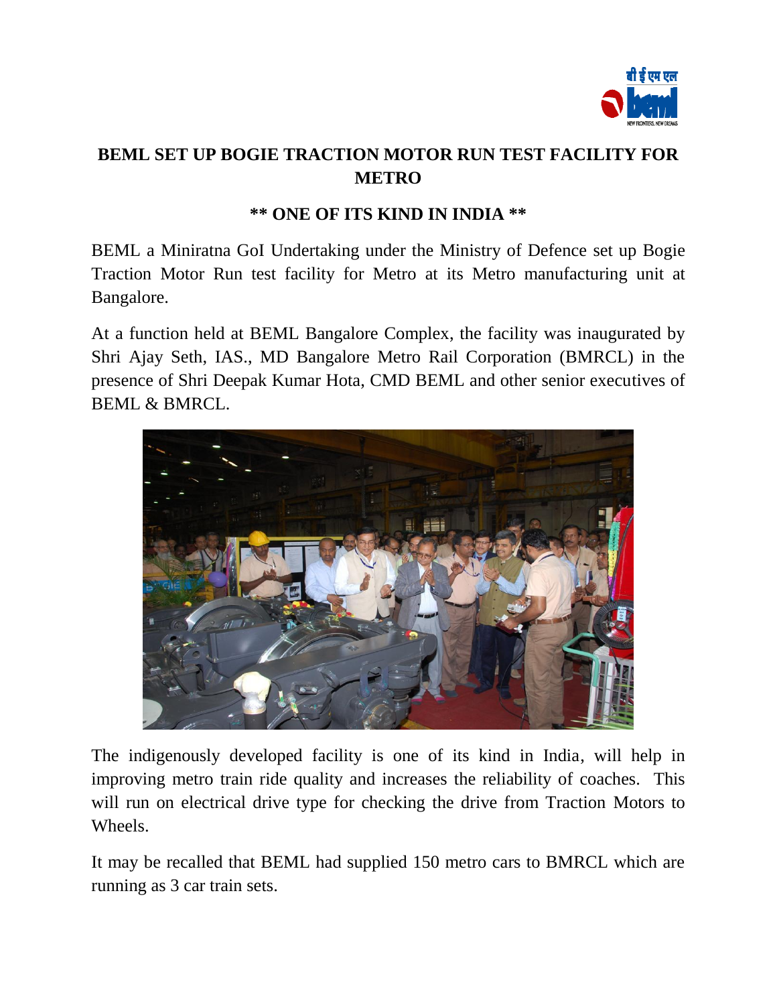

## **BEML SET UP BOGIE TRACTION MOTOR RUN TEST FACILITY FOR METRO**

### **\*\* ONE OF ITS KIND IN INDIA \*\***

BEML a Miniratna GoI Undertaking under the Ministry of Defence set up Bogie Traction Motor Run test facility for Metro at its Metro manufacturing unit at Bangalore.

At a function held at BEML Bangalore Complex, the facility was inaugurated by Shri Ajay Seth, IAS., MD Bangalore Metro Rail Corporation (BMRCL) in the presence of Shri Deepak Kumar Hota, CMD BEML and other senior executives of BEML & BMRCL.



The indigenously developed facility is one of its kind in India, will help in improving metro train ride quality and increases the reliability of coaches. This will run on electrical drive type for checking the drive from Traction Motors to Wheels.

It may be recalled that BEML had supplied 150 metro cars to BMRCL which are running as 3 car train sets.